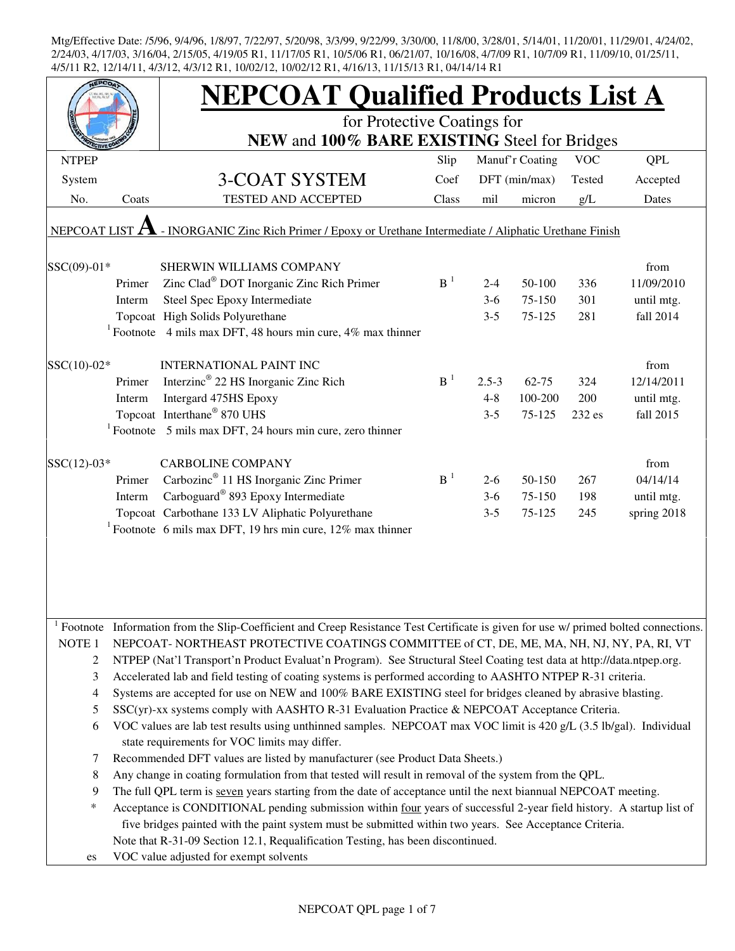|                   |        | <b>NEPCOAT Qualified Products List A</b>                                                                                                                            |                |           |                 |            |             |
|-------------------|--------|---------------------------------------------------------------------------------------------------------------------------------------------------------------------|----------------|-----------|-----------------|------------|-------------|
|                   |        | for Protective Coatings for                                                                                                                                         |                |           |                 |            |             |
|                   |        | NEW and 100% BARE EXISTING Steel for Bridges                                                                                                                        |                |           |                 |            |             |
| <b>NTPEP</b>      |        |                                                                                                                                                                     | Slip           |           | Manuf'r Coating | <b>VOC</b> | <b>QPL</b>  |
| System            |        | <b>3-COAT SYSTEM</b>                                                                                                                                                | Coef           |           | DFT (min/max)   | Tested     | Accepted    |
| No.               | Coats  | <b>TESTED AND ACCEPTED</b>                                                                                                                                          | Class          | mil       | micron          | g/L        | Dates       |
|                   |        |                                                                                                                                                                     |                |           |                 |            |             |
| NEPCOAT LIST      |        | - INORGANIC Zinc Rich Primer / Epoxy or Urethane Intermediate / Aliphatic Urethane Finish                                                                           |                |           |                 |            |             |
| SSC(09)-01*       |        | SHERWIN WILLIAMS COMPANY                                                                                                                                            |                |           |                 |            | from        |
|                   | Primer | Zinc Clad® DOT Inorganic Zinc Rich Primer                                                                                                                           | B <sup>1</sup> | $2 - 4$   | 50-100          | 336        | 11/09/2010  |
|                   | Interm | Steel Spec Epoxy Intermediate                                                                                                                                       |                | $3-6$     | 75-150          | 301        | until mtg.  |
|                   |        | Topcoat High Solids Polyurethane                                                                                                                                    |                | $3 - 5$   | 75-125          | 281        | fall 2014   |
|                   |        | <sup>1</sup> Footnote 4 mils max DFT, 48 hours min cure, 4% max thinner                                                                                             |                |           |                 |            |             |
| SSC(10)-02*       |        | <b>INTERNATIONAL PAINT INC</b>                                                                                                                                      |                |           |                 |            | from        |
|                   | Primer | Interzinc® 22 HS Inorganic Zinc Rich                                                                                                                                | $B^{-1}$       | $2.5 - 3$ | $62 - 75$       | 324        | 12/14/2011  |
|                   | Interm | Intergard 475HS Epoxy                                                                                                                                               |                | $4 - 8$   | 100-200         | 200        | until mtg.  |
|                   |        | Topcoat Interthane® 870 UHS                                                                                                                                         |                | $3 - 5$   | 75-125          | 232 es     | fall 2015   |
|                   |        | $1$ Footnote 5 mils max DFT, 24 hours min cure, zero thinner                                                                                                        |                |           |                 |            |             |
|                   |        |                                                                                                                                                                     |                |           |                 |            |             |
| $SSC(12)-03*$     |        | <b>CARBOLINE COMPANY</b>                                                                                                                                            |                |           |                 |            | from        |
|                   | Primer | Carbozinc <sup>®</sup> 11 HS Inorganic Zinc Primer                                                                                                                  | B <sup>1</sup> | $2 - 6$   | 50-150          | 267        | 04/14/14    |
|                   | Interm | Carboguard <sup>®</sup> 893 Epoxy Intermediate                                                                                                                      |                | $3-6$     | 75-150          | 198        | until mtg.  |
|                   |        | Topcoat Carbothane 133 LV Aliphatic Polyurethane                                                                                                                    |                | $3 - 5$   | 75-125          | 245        | spring 2018 |
|                   |        | <sup>1</sup> Footnote 6 mils max DFT, 19 hrs min cure, $12\%$ max thinner                                                                                           |                |           |                 |            |             |
|                   |        |                                                                                                                                                                     |                |           |                 |            |             |
|                   |        |                                                                                                                                                                     |                |           |                 |            |             |
|                   |        |                                                                                                                                                                     |                |           |                 |            |             |
|                   |        |                                                                                                                                                                     |                |           |                 |            |             |
|                   |        | Footnote Information from the Slip-Coefficient and Creep Resistance Test Certificate is given for use w/ primed bolted connections.                                 |                |           |                 |            |             |
| NOTE <sub>1</sub> |        | NEPCOAT-NORTHEAST PROTECTIVE COATINGS COMMITTEE of CT, DE, ME, MA, NH, NJ, NY, PA, RI, VT                                                                           |                |           |                 |            |             |
| 2                 |        | NTPEP (Nat'l Transport'n Product Evaluat'n Program). See Structural Steel Coating test data at http://data.ntpep.org.                                               |                |           |                 |            |             |
| 3                 |        | Accelerated lab and field testing of coating systems is performed according to AASHTO NTPEP R-31 criteria.                                                          |                |           |                 |            |             |
| 4                 |        | Systems are accepted for use on NEW and 100% BARE EXISTING steel for bridges cleaned by abrasive blasting.                                                          |                |           |                 |            |             |
| 5                 |        | SSC(yr)-xx systems comply with AASHTO R-31 Evaluation Practice & NEPCOAT Acceptance Criteria.                                                                       |                |           |                 |            |             |
| 6                 |        | VOC values are lab test results using unthinned samples. NEPCOAT max VOC limit is 420 g/L (3.5 lb/gal). Individual<br>state requirements for VOC limits may differ. |                |           |                 |            |             |
| 7                 |        | Recommended DFT values are listed by manufacturer (see Product Data Sheets.)                                                                                        |                |           |                 |            |             |
| 8                 |        | Any change in coating formulation from that tested will result in removal of the system from the QPL.                                                               |                |           |                 |            |             |
| 9                 |        | The full QPL term is seven years starting from the date of acceptance until the next biannual NEPCOAT meeting.                                                      |                |           |                 |            |             |
| ∗                 |        | Acceptance is CONDITIONAL pending submission within four years of successful 2-year field history. A startup list of                                                |                |           |                 |            |             |
|                   |        | five bridges painted with the paint system must be submitted within two years. See Acceptance Criteria.                                                             |                |           |                 |            |             |
|                   |        | Note that R-31-09 Section 12.1, Requalification Testing, has been discontinued.                                                                                     |                |           |                 |            |             |
| es                |        | VOC value adjusted for exempt solvents                                                                                                                              |                |           |                 |            |             |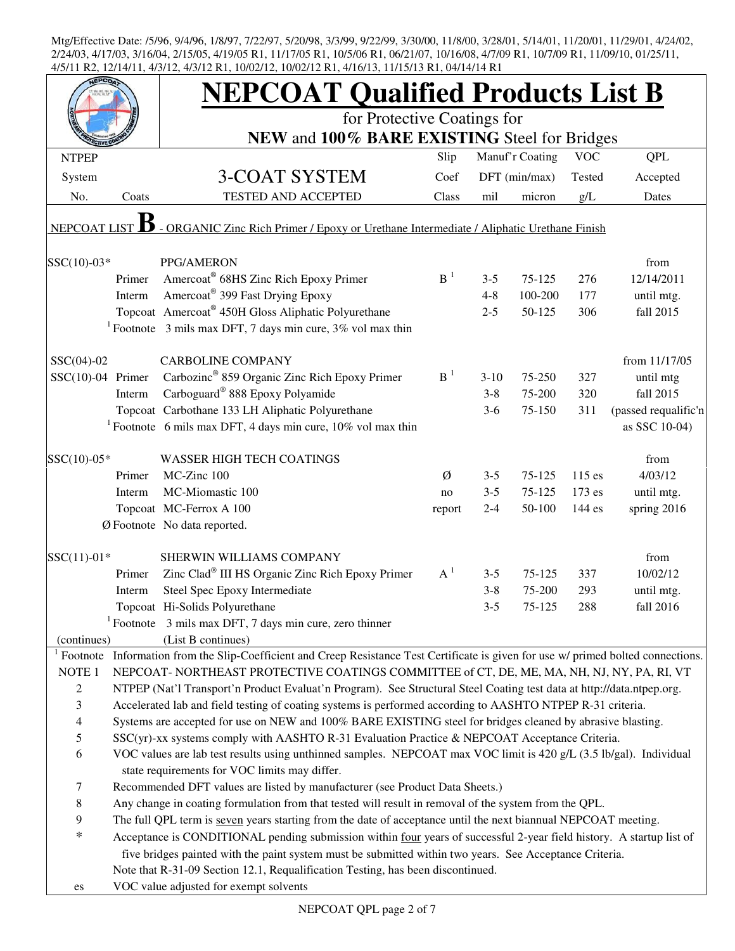|                     |        | <b>NEPCOAT Qualified Products List B</b>                                                                                            |                |         |                 |            |                      |
|---------------------|--------|-------------------------------------------------------------------------------------------------------------------------------------|----------------|---------|-----------------|------------|----------------------|
|                     |        | for Protective Coatings for<br>NEW and 100% BARE EXISTING Steel for Bridges                                                         |                |         |                 |            |                      |
| <b>NTPEP</b>        |        |                                                                                                                                     | Slip           |         | Manuf'r Coating | <b>VOC</b> | <b>QPL</b>           |
| System              |        | <b>3-COAT SYSTEM</b>                                                                                                                | Coef           |         | DFT (min/max)   | Tested     | Accepted             |
| No.                 | Coats  | TESTED AND ACCEPTED                                                                                                                 | Class          | mil     | micron          | g/L        | Dates                |
| <b>NEPCOAT LIST</b> |        | - ORGANIC Zinc Rich Primer / Epoxy or Urethane Intermediate / Aliphatic Urethane Finish                                             |                |         |                 |            |                      |
| $SSC(10)-03*$       |        | PPG/AMERON                                                                                                                          |                |         |                 |            | from                 |
|                     | Primer | Amercoat® 68HS Zinc Rich Epoxy Primer                                                                                               | B <sup>1</sup> | $3 - 5$ | 75-125          | 276        | 12/14/2011           |
|                     | Interm | Amercoat <sup>®</sup> 399 Fast Drying Epoxy                                                                                         |                | $4 - 8$ | 100-200         | 177        | until mtg.           |
|                     |        | Topcoat Amercoat® 450H Gloss Aliphatic Polyurethane                                                                                 |                | $2 - 5$ | 50-125          | 306        | fall 2015            |
|                     |        | <sup>1</sup> Footnote 3 mils max DFT, 7 days min cure, $3\%$ vol max thin                                                           |                |         |                 |            |                      |
| $SSC(04)-02$        |        | <b>CARBOLINE COMPANY</b>                                                                                                            |                |         |                 |            | from 11/17/05        |
| $SSC(10)-04$ Primer |        | Carbozinc <sup>®</sup> 859 Organic Zinc Rich Epoxy Primer                                                                           | $B-1$          | $3-10$  | 75-250          | 327        | until mtg            |
|                     | Interm | Carboguard <sup>®</sup> 888 Epoxy Polyamide                                                                                         |                | $3 - 8$ | 75-200          | 320        | fall 2015            |
|                     |        | Topcoat Carbothane 133 LH Aliphatic Polyurethane                                                                                    |                | $3-6$   | 75-150          | 311        | (passed requalific'n |
|                     |        | <sup>1</sup> Footnote 6 mils max DFT, 4 days min cure, $10\%$ vol max thin                                                          |                |         |                 |            | as SSC 10-04)        |
| $SSC(10)-05*$       |        | <b>WASSER HIGH TECH COATINGS</b>                                                                                                    |                |         |                 |            | from                 |
|                     | Primer | MC-Zinc 100                                                                                                                         | Ø              | $3 - 5$ | 75-125          | $115$ es   | 4/03/12              |
|                     | Interm | MC-Miomastic 100                                                                                                                    | no             | $3 - 5$ | 75-125          | 173 es     | until mtg.           |
|                     |        | Topcoat MC-Ferrox A 100                                                                                                             | report         | $2 - 4$ | 50-100          | 144 es     | spring 2016          |
|                     |        | Ø Footnote No data reported.                                                                                                        |                |         |                 |            |                      |
| $SSC(11)-01*$       |        | SHERWIN WILLIAMS COMPANY                                                                                                            |                |         |                 |            | from                 |
|                     | Primer | Zinc Clad® III HS Organic Zinc Rich Epoxy Primer                                                                                    | $A^1$          | $3 - 5$ | 75-125          | 337        | 10/02/12             |
|                     | Interm | Steel Spec Epoxy Intermediate                                                                                                       |                | $3 - 8$ | 75-200          | 293        | until mtg.           |
|                     |        | Topcoat Hi-Solids Polyurethane                                                                                                      |                | $3 - 5$ | 75-125          | 288        | fall 2016            |
|                     |        | Footnote 3 mils max DFT, 7 days min cure, zero thinner                                                                              |                |         |                 |            |                      |
| (continues)         |        | (List B continues)                                                                                                                  |                |         |                 |            |                      |
|                     |        | Footnote Information from the Slip-Coefficient and Creep Resistance Test Certificate is given for use w/ primed bolted connections. |                |         |                 |            |                      |
| NOTE <sub>1</sub>   |        | NEPCOAT-NORTHEAST PROTECTIVE COATINGS COMMITTEE of CT, DE, ME, MA, NH, NJ, NY, PA, RI, VT                                           |                |         |                 |            |                      |
| $\overline{c}$      |        | NTPEP (Nat'l Transport'n Product Evaluat'n Program). See Structural Steel Coating test data at http://data.ntpep.org.               |                |         |                 |            |                      |
| 3                   |        | Accelerated lab and field testing of coating systems is performed according to AASHTO NTPEP R-31 criteria.                          |                |         |                 |            |                      |
| 4                   |        | Systems are accepted for use on NEW and 100% BARE EXISTING steel for bridges cleaned by abrasive blasting.                          |                |         |                 |            |                      |
| 5                   |        | SSC(yr)-xx systems comply with AASHTO R-31 Evaluation Practice & NEPCOAT Acceptance Criteria.                                       |                |         |                 |            |                      |
| 6                   |        | VOC values are lab test results using unthinned samples. NEPCOAT max VOC limit is 420 g/L (3.5 lb/gal). Individual                  |                |         |                 |            |                      |
|                     |        | state requirements for VOC limits may differ.                                                                                       |                |         |                 |            |                      |
| 7                   |        | Recommended DFT values are listed by manufacturer (see Product Data Sheets.)                                                        |                |         |                 |            |                      |
| 8                   |        | Any change in coating formulation from that tested will result in removal of the system from the QPL.                               |                |         |                 |            |                      |
| 9                   |        | The full QPL term is seven years starting from the date of acceptance until the next biannual NEPCOAT meeting.                      |                |         |                 |            |                      |
| $\ast$              |        | Acceptance is CONDITIONAL pending submission within four years of successful 2-year field history. A startup list of                |                |         |                 |            |                      |
|                     |        | five bridges painted with the paint system must be submitted within two years. See Acceptance Criteria.                             |                |         |                 |            |                      |
|                     |        | Note that R-31-09 Section 12.1, Requalification Testing, has been discontinued.                                                     |                |         |                 |            |                      |
| es                  |        | VOC value adjusted for exempt solvents                                                                                              |                |         |                 |            |                      |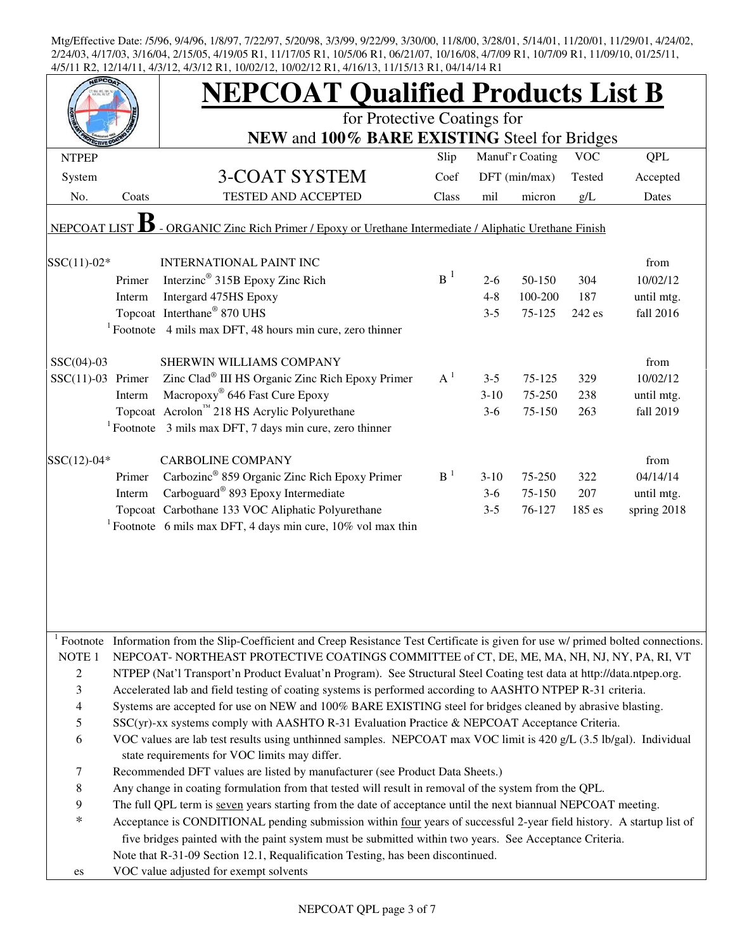|                          |        | <b>NEPCOAT Qualified Products List B</b>                                                                                                         |       |         |                 |            |             |
|--------------------------|--------|--------------------------------------------------------------------------------------------------------------------------------------------------|-------|---------|-----------------|------------|-------------|
|                          |        | for Protective Coatings for                                                                                                                      |       |         |                 |            |             |
|                          |        | NEW and 100% BARE EXISTING Steel for Bridges                                                                                                     |       |         |                 |            |             |
| <b>NTPEP</b>             |        |                                                                                                                                                  | Slip  |         | Manuf'r Coating | <b>VOC</b> | <b>QPL</b>  |
| System                   |        | 3-COAT SYSTEM                                                                                                                                    | Coef  |         | DFT (min/max)   | Tested     | Accepted    |
| No.                      | Coats  | TESTED AND ACCEPTED                                                                                                                              | Class | mil     | micron          | g/L        | Dates       |
| NEPCOAT LIST             |        | - ORGANIC Zinc Rich Primer / Epoxy or Urethane Intermediate / Aliphatic Urethane Finish                                                          |       |         |                 |            |             |
| $SSC(11)-02*$            |        | <b>INTERNATIONAL PAINT INC</b>                                                                                                                   |       |         |                 |            | from        |
|                          | Primer | Interzinc <sup>®</sup> 315B Epoxy Zinc Rich                                                                                                      | $B^1$ | $2-6$   | 50-150          | 304        | 10/02/12    |
|                          | Interm | Intergard 475HS Epoxy                                                                                                                            |       | $4 - 8$ | 100-200         | 187        | until mtg.  |
|                          |        | Topcoat Interthane® 870 UHS                                                                                                                      |       | $3 - 5$ | 75-125          | 242 es     | fall 2016   |
|                          |        | $1$ Footnote 4 mils max DFT, 48 hours min cure, zero thinner                                                                                     |       |         |                 |            |             |
| $SSC(04)-03$             |        | SHERWIN WILLIAMS COMPANY                                                                                                                         |       |         |                 |            | from        |
| $SSC(11)-03$ Primer      |        | Zinc Clad <sup>®</sup> III HS Organic Zinc Rich Epoxy Primer                                                                                     | $A^1$ | $3 - 5$ | $75 - 125$      | 329        | 10/02/12    |
|                          | Interm | Macropoxy <sup>®</sup> 646 Fast Cure Epoxy                                                                                                       |       | $3-10$  | 75-250          | 238        | until mtg.  |
|                          |        | Topcoat Acrolon™ 218 HS Acrylic Polyurethane                                                                                                     |       | $3-6$   | 75-150          | 263        | fall 2019   |
|                          |        | $1$ Footnote 3 mils max DFT, 7 days min cure, zero thinner                                                                                       |       |         |                 |            |             |
| $SSC(12)-04*$            |        | <b>CARBOLINE COMPANY</b>                                                                                                                         |       |         |                 |            | from        |
|                          | Primer | Carbozinc <sup>®</sup> 859 Organic Zinc Rich Epoxy Primer                                                                                        | $B-1$ | $3-10$  | 75-250          | 322        | 04/14/14    |
|                          | Interm | Carboguard <sup>®</sup> 893 Epoxy Intermediate                                                                                                   |       | $3-6$   | 75-150          | 207        | until mtg.  |
|                          |        | Topcoat Carbothane 133 VOC Aliphatic Polyurethane                                                                                                |       | $3 - 5$ | 76-127          | 185 es     | spring 2018 |
|                          |        | <sup>1</sup> Footnote 6 mils max DFT, 4 days min cure, $10\%$ vol max thin                                                                       |       |         |                 |            |             |
|                          |        |                                                                                                                                                  |       |         |                 |            |             |
|                          |        | <sup>1</sup> Footnote Information from the Slip-Coefficient and Creep Resistance Test Certificate is given for use w/ primed bolted connections. |       |         |                 |            |             |
| NOTE 1                   |        | NEPCOAT-NORTHEAST PROTECTIVE COATINGS COMMITTEE of CT, DE, ME, MA, NH, NJ, NY, PA, RI, VT                                                        |       |         |                 |            |             |
| 2                        |        | NTPEP (Nat'l Transport'n Product Evaluat'n Program). See Structural Steel Coating test data at http://data.ntpep.org.                            |       |         |                 |            |             |
| 3                        |        | Accelerated lab and field testing of coating systems is performed according to AASHTO NTPEP R-31 criteria.                                       |       |         |                 |            |             |
| $\overline{\mathcal{A}}$ |        | Systems are accepted for use on NEW and 100% BARE EXISTING steel for bridges cleaned by abrasive blasting.                                       |       |         |                 |            |             |
| 5                        |        | SSC(yr)-xx systems comply with AASHTO R-31 Evaluation Practice & NEPCOAT Acceptance Criteria.                                                    |       |         |                 |            |             |
| 6                        |        | VOC values are lab test results using unthinned samples. NEPCOAT max VOC limit is 420 g/L (3.5 lb/gal). Individual                               |       |         |                 |            |             |
|                          |        | state requirements for VOC limits may differ.                                                                                                    |       |         |                 |            |             |
| 7                        |        | Recommended DFT values are listed by manufacturer (see Product Data Sheets.)                                                                     |       |         |                 |            |             |
| 8                        |        | Any change in coating formulation from that tested will result in removal of the system from the QPL.                                            |       |         |                 |            |             |
| 9                        |        | The full QPL term is seven years starting from the date of acceptance until the next biannual NEPCOAT meeting.                                   |       |         |                 |            |             |
| *                        |        | Acceptance is CONDITIONAL pending submission within four years of successful 2-year field history. A startup list of                             |       |         |                 |            |             |
|                          |        | five bridges painted with the paint system must be submitted within two years. See Acceptance Criteria.                                          |       |         |                 |            |             |
|                          |        | Note that R-31-09 Section 12.1, Requalification Testing, has been discontinued.                                                                  |       |         |                 |            |             |
| es                       |        | VOC value adjusted for exempt solvents                                                                                                           |       |         |                 |            |             |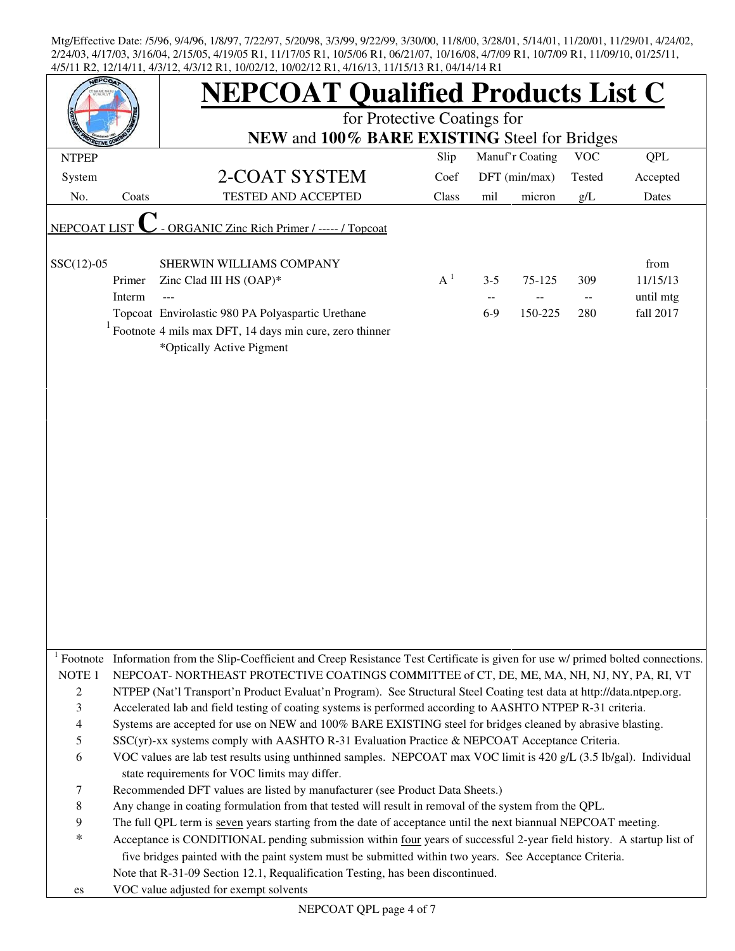|                   |        | <b>NEPCOAT Qualified Products List C</b>                                                                                                          |       |         |                 |                                               |            |
|-------------------|--------|---------------------------------------------------------------------------------------------------------------------------------------------------|-------|---------|-----------------|-----------------------------------------------|------------|
|                   |        | for Protective Coatings for<br>NEW and 100% BARE EXISTING Steel for Bridges                                                                       |       |         |                 |                                               |            |
| <b>NTPEP</b>      |        |                                                                                                                                                   | Slip  |         | Manuf'r Coating | <b>VOC</b>                                    | <b>QPL</b> |
| System            |        | 2-COAT SYSTEM                                                                                                                                     | Coef  |         | DFT (min/max)   | Tested                                        | Accepted   |
| No.               | Coats  | TESTED AND ACCEPTED                                                                                                                               | Class | mil     | micron          | g/L                                           | Dates      |
|                   |        |                                                                                                                                                   |       |         |                 |                                               |            |
| NEPCOAT LIST      |        | <b>ORGANIC Zinc Rich Primer / ----- / Topcoat</b>                                                                                                 |       |         |                 |                                               |            |
| $SSC(12)-05$      |        | SHERWIN WILLIAMS COMPANY                                                                                                                          |       |         |                 |                                               | from       |
|                   | Primer | Zinc Clad III HS (OAP)*                                                                                                                           | $A^1$ | $3 - 5$ | 75-125          | 309                                           | 11/15/13   |
|                   | Interm | ---                                                                                                                                               |       | $- -$   |                 | $\mathord{\hspace{1pt}\text{--}\hspace{1pt}}$ | until mtg  |
|                   |        | Topcoat Envirolastic 980 PA Polyaspartic Urethane                                                                                                 |       | $6-9$   | 150-225         | 280                                           | fall 2017  |
|                   |        | $1$ Footnote 4 mils max DFT, 14 days min cure, zero thinner<br>*Optically Active Pigment                                                          |       |         |                 |                                               |            |
|                   |        |                                                                                                                                                   |       |         |                 |                                               |            |
|                   |        |                                                                                                                                                   |       |         |                 |                                               |            |
|                   |        |                                                                                                                                                   |       |         |                 |                                               |            |
|                   |        |                                                                                                                                                   |       |         |                 |                                               |            |
|                   |        |                                                                                                                                                   |       |         |                 |                                               |            |
|                   |        |                                                                                                                                                   |       |         |                 |                                               |            |
|                   |        |                                                                                                                                                   |       |         |                 |                                               |            |
|                   |        |                                                                                                                                                   |       |         |                 |                                               |            |
|                   |        |                                                                                                                                                   |       |         |                 |                                               |            |
|                   |        |                                                                                                                                                   |       |         |                 |                                               |            |
|                   |        |                                                                                                                                                   |       |         |                 |                                               |            |
|                   |        |                                                                                                                                                   |       |         |                 |                                               |            |
|                   |        |                                                                                                                                                   |       |         |                 |                                               |            |
|                   |        |                                                                                                                                                   |       |         |                 |                                               |            |
|                   |        |                                                                                                                                                   |       |         |                 |                                               |            |
|                   |        |                                                                                                                                                   |       |         |                 |                                               |            |
|                   |        | <sup>1</sup> Footnote Information from the Slip-Coefficient and Creep Resistance Test Certificate is given for use $w$ primed bolted connections. |       |         |                 |                                               |            |
| NOTE <sub>1</sub> |        | NEPCOAT- NORTHEAST PROTECTIVE COATINGS COMMITTEE of CT, DE, ME, MA, NH, NJ, NY, PA, RI, VT                                                        |       |         |                 |                                               |            |
| 2                 |        | NTPEP (Nat'l Transport'n Product Evaluat'n Program). See Structural Steel Coating test data at http://data.ntpep.org.                             |       |         |                 |                                               |            |
| 3                 |        | Accelerated lab and field testing of coating systems is performed according to AASHTO NTPEP R-31 criteria.                                        |       |         |                 |                                               |            |
| 4                 |        | Systems are accepted for use on NEW and 100% BARE EXISTING steel for bridges cleaned by abrasive blasting.                                        |       |         |                 |                                               |            |
| 5                 |        | SSC(yr)-xx systems comply with AASHTO R-31 Evaluation Practice & NEPCOAT Acceptance Criteria.                                                     |       |         |                 |                                               |            |
| 6                 |        | VOC values are lab test results using unthinned samples. NEPCOAT max VOC limit is 420 g/L (3.5 lb/gal). Individual                                |       |         |                 |                                               |            |
|                   |        | state requirements for VOC limits may differ.                                                                                                     |       |         |                 |                                               |            |
| 7                 |        | Recommended DFT values are listed by manufacturer (see Product Data Sheets.)                                                                      |       |         |                 |                                               |            |
| 8                 |        | Any change in coating formulation from that tested will result in removal of the system from the QPL.                                             |       |         |                 |                                               |            |
| 9                 |        | The full QPL term is seven years starting from the date of acceptance until the next biannual NEPCOAT meeting.                                    |       |         |                 |                                               |            |
| $\ast$            |        | Acceptance is CONDITIONAL pending submission within four years of successful 2-year field history. A startup list of                              |       |         |                 |                                               |            |
|                   |        | five bridges painted with the paint system must be submitted within two years. See Acceptance Criteria.                                           |       |         |                 |                                               |            |
|                   |        | Note that R-31-09 Section 12.1, Requalification Testing, has been discontinued.                                                                   |       |         |                 |                                               |            |
| es                |        | VOC value adjusted for exempt solvents                                                                                                            |       |         |                 |                                               |            |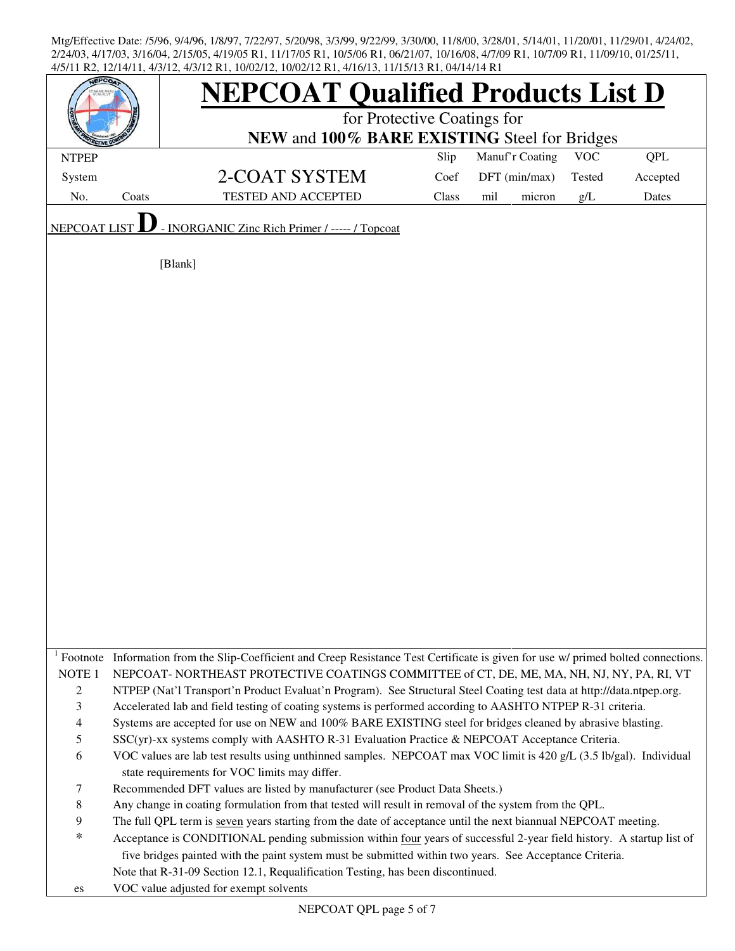| <b>FPCO</b>       |       | <b>NEPCOAT Qualified Products List D</b>                                                                                            |       |                 |            |            |  |  |
|-------------------|-------|-------------------------------------------------------------------------------------------------------------------------------------|-------|-----------------|------------|------------|--|--|
|                   |       | for Protective Coatings for                                                                                                         |       |                 |            |            |  |  |
|                   |       | NEW and 100% BARE EXISTING Steel for Bridges                                                                                        |       |                 |            |            |  |  |
| <b>NTPEP</b>      |       |                                                                                                                                     | Slip  | Manuf'r Coating | <b>VOC</b> | <b>QPL</b> |  |  |
| System            |       | 2-COAT SYSTEM                                                                                                                       | Coef  | DFT (min/max)   | Tested     | Accepted   |  |  |
| No.               | Coats | <b>TESTED AND ACCEPTED</b>                                                                                                          | Class | mil<br>micron   | g/L        | Dates      |  |  |
| NEPCOAT LIST      |       | - INORGANIC Zinc Rich Primer / ----- / Topcoat                                                                                      |       |                 |            |            |  |  |
|                   |       |                                                                                                                                     |       |                 |            |            |  |  |
|                   |       | [Blank]                                                                                                                             |       |                 |            |            |  |  |
|                   |       |                                                                                                                                     |       |                 |            |            |  |  |
|                   |       |                                                                                                                                     |       |                 |            |            |  |  |
|                   |       |                                                                                                                                     |       |                 |            |            |  |  |
|                   |       |                                                                                                                                     |       |                 |            |            |  |  |
|                   |       |                                                                                                                                     |       |                 |            |            |  |  |
|                   |       |                                                                                                                                     |       |                 |            |            |  |  |
|                   |       |                                                                                                                                     |       |                 |            |            |  |  |
|                   |       |                                                                                                                                     |       |                 |            |            |  |  |
|                   |       |                                                                                                                                     |       |                 |            |            |  |  |
|                   |       |                                                                                                                                     |       |                 |            |            |  |  |
|                   |       |                                                                                                                                     |       |                 |            |            |  |  |
|                   |       |                                                                                                                                     |       |                 |            |            |  |  |
|                   |       |                                                                                                                                     |       |                 |            |            |  |  |
|                   |       |                                                                                                                                     |       |                 |            |            |  |  |
|                   |       |                                                                                                                                     |       |                 |            |            |  |  |
|                   |       |                                                                                                                                     |       |                 |            |            |  |  |
|                   |       |                                                                                                                                     |       |                 |            |            |  |  |
|                   |       |                                                                                                                                     |       |                 |            |            |  |  |
|                   |       |                                                                                                                                     |       |                 |            |            |  |  |
|                   |       |                                                                                                                                     |       |                 |            |            |  |  |
|                   |       |                                                                                                                                     |       |                 |            |            |  |  |
|                   |       |                                                                                                                                     |       |                 |            |            |  |  |
|                   |       | Footnote Information from the Slip-Coefficient and Creep Resistance Test Certificate is given for use w/ primed bolted connections. |       |                 |            |            |  |  |
| NOTE <sub>1</sub> |       | NEPCOAT-NORTHEAST PROTECTIVE COATINGS COMMITTEE of CT, DE, ME, MA, NH, NJ, NY, PA, RI, VT                                           |       |                 |            |            |  |  |
| $\overline{c}$    |       | NTPEP (Nat'l Transport'n Product Evaluat'n Program). See Structural Steel Coating test data at http://data.ntpep.org.               |       |                 |            |            |  |  |
| 3                 |       | Accelerated lab and field testing of coating systems is performed according to AASHTO NTPEP R-31 criteria.                          |       |                 |            |            |  |  |
| 4                 |       | Systems are accepted for use on NEW and 100% BARE EXISTING steel for bridges cleaned by abrasive blasting.                          |       |                 |            |            |  |  |
| 5                 |       | SSC(yr)-xx systems comply with AASHTO R-31 Evaluation Practice & NEPCOAT Acceptance Criteria.                                       |       |                 |            |            |  |  |
| 6                 |       | VOC values are lab test results using unthinned samples. NEPCOAT max VOC limit is 420 g/L (3.5 lb/gal). Individual                  |       |                 |            |            |  |  |
|                   |       | state requirements for VOC limits may differ.                                                                                       |       |                 |            |            |  |  |
| 7                 |       | Recommended DFT values are listed by manufacturer (see Product Data Sheets.)                                                        |       |                 |            |            |  |  |
| 8                 |       | Any change in coating formulation from that tested will result in removal of the system from the QPL.                               |       |                 |            |            |  |  |
| 9                 |       | The full QPL term is seven years starting from the date of acceptance until the next biannual NEPCOAT meeting.                      |       |                 |            |            |  |  |
| *                 |       | Acceptance is CONDITIONAL pending submission within four years of successful 2-year field history. A startup list of                |       |                 |            |            |  |  |
|                   |       | five bridges painted with the paint system must be submitted within two years. See Acceptance Criteria.                             |       |                 |            |            |  |  |
|                   |       | Note that R-31-09 Section 12.1, Requalification Testing, has been discontinued.                                                     |       |                 |            |            |  |  |
| es                |       | VOC value adjusted for exempt solvents                                                                                              |       |                 |            |            |  |  |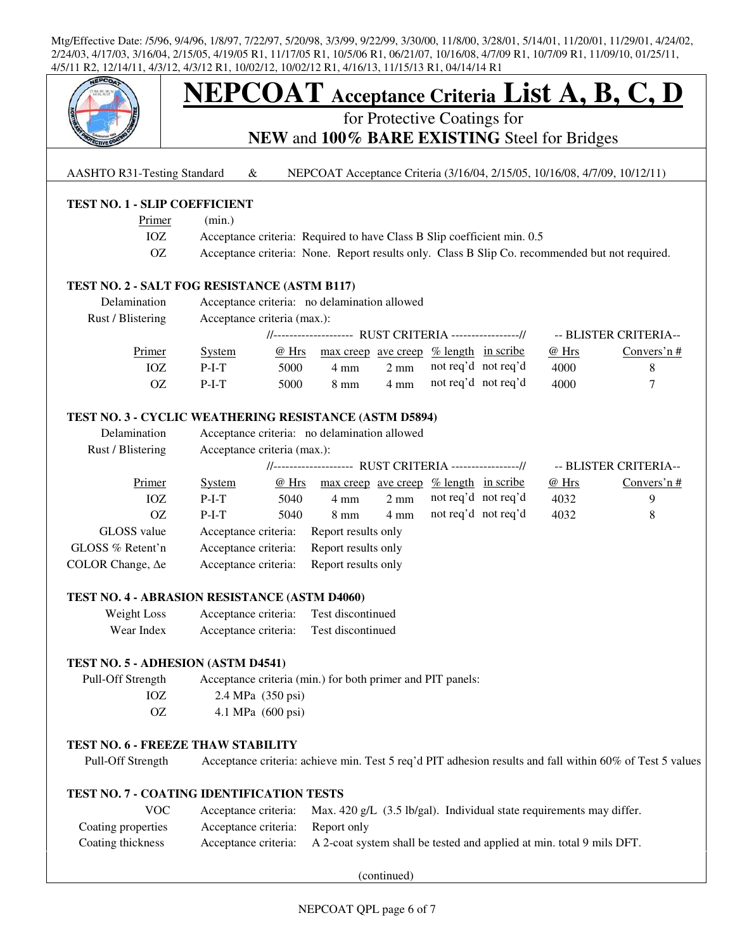

# **NEPCOAT Acceptance Criteria List A, B, C, D**

for Protective Coatings for

**NEW** and **100% BARE EXISTING** Steel for Bridges

AASHTO R31-Testing Standard & NEPCOAT Acceptance Criteria (3/16/04, 2/15/05, 10/16/08, 4/7/09, 10/12/11)

#### **TEST NO. 1 - SLIP COEFFICIENT**

| Primer | (min.) |
|--------|--------|
|--------|--------|

- IOZ Acceptance criteria: Required to have Class B Slip coefficient min. 0.5
- OZ Acceptance criteria: None. Report results only. Class B Slip Co. recommended but not required.

#### **TEST NO. 2 - SALT FOG RESISTANCE (ASTM B117)**

| Delamination<br>Rust / Blistering | Acceptance criteria: no delamination allowed<br>Acceptance criteria (max.): |       |                                                         |                |                     |  |       |                       |  |
|-----------------------------------|-----------------------------------------------------------------------------|-------|---------------------------------------------------------|----------------|---------------------|--|-------|-----------------------|--|
|                                   |                                                                             |       | //-------------------- RUST CRITERIA ----------------// |                |                     |  |       | -- BLISTER CRITERIA-- |  |
| Primer                            | <b>System</b>                                                               | @ Hrs | max creep ave creep % length in scribe                  |                |                     |  | @ Hrs | Convers'n $#$         |  |
| IOZ                               | $P-I-T$                                                                     | 5000  | 4 mm                                                    | $2 \text{ mm}$ | not req'd not req'd |  | 4000  |                       |  |
| OΖ                                | $P-I-T$                                                                     | 5000  | $8 \text{ mm}$                                          | 4 mm           | not req'd not req'd |  | 4000  |                       |  |

#### **TEST NO. 3 - CYCLIC WEATHERING RESISTANCE (ASTM D5894)**

| Delamination             | Acceptance criteria: no delamination allowed            |       |                     |                |                      |  |       |                       |
|--------------------------|---------------------------------------------------------|-------|---------------------|----------------|----------------------|--|-------|-----------------------|
| Rust / Blistering        | Acceptance criteria (max.):                             |       |                     |                |                      |  |       |                       |
|                          | //-------------------- RUST CRITERIA ----------------// |       |                     |                |                      |  |       | -- BLISTER CRITERIA-- |
| Primer                   | <b>System</b>                                           | @ Hrs | max creep ave creep |                | $%$ length in scribe |  | @ Hrs | Convers'n $#$         |
| IOZ                      | $P-I-T$                                                 | 5040  | $4 \text{ mm}$      | $2 \text{ mm}$ | not req'd not req'd  |  | 4032  | 9                     |
| OΖ                       | $P-I-T$                                                 | 5040  | $8 \text{ mm}$      | $4 \text{ mm}$ | not req'd not req'd  |  | 4032  | 8                     |
| GLOSS value              | Acceptance criteria:                                    |       | Report results only |                |                      |  |       |                       |
| GLOSS % Retent'n         | Acceptance criteria:                                    |       | Report results only |                |                      |  |       |                       |
| COLOR Change, $\Delta$ e | Acceptance criteria:                                    |       | Report results only |                |                      |  |       |                       |

#### **TEST NO. 4 - ABRASION RESISTANCE (ASTM D4060)**

| Weight Loss | Acceptance criteria: | Test discontinued |
|-------------|----------------------|-------------------|
| Wear Index  | Acceptance criteria: | Test discontinued |

#### **TEST NO. 5 - ADHESION (ASTM D4541)**

 Pull-Off Strength Acceptance criteria (min.) for both primer and PIT panels: IOZ 2.4 MPa (350 psi) OZ 4.1 MPa (600 psi)

#### **TEST NO. 6 - FREEZE THAW STABILITY**

Pull-Off Strength Acceptance criteria: achieve min. Test 5 req'd PIT adhesion results and fall within 60% of Test 5 values

#### **TEST NO. 7 - COATING IDENTIFICATION TESTS**

| VOC.               |                                  | Acceptance criteria: Max. 420 g/L $(3.5 \text{ lb/gal})$ . Individual state requirements may differ. |
|--------------------|----------------------------------|------------------------------------------------------------------------------------------------------|
| Coating properties | Acceptance criteria: Report only |                                                                                                      |
| Coating thickness  |                                  | Acceptance criteria: A 2-coat system shall be tested and applied at min. total 9 mils DFT.           |

(continued)